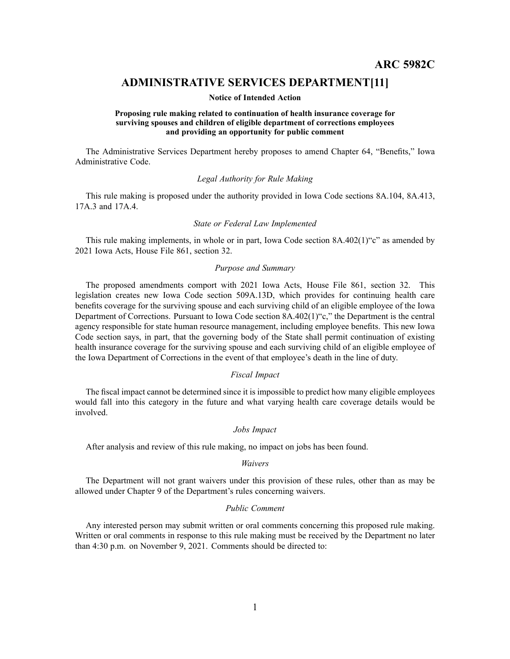# **ADMINISTRATIVE SERVICES DEPARTMENT[11]**

### **Notice of Intended Action**

### **Proposing rule making related to continuation of health insurance coverage for surviving spouses and children of eligible department of corrections employees and providing an opportunity for public comment**

The Administrative Services Department hereby proposes to amend Chapter 64, "Benefits," Iowa Administrative Code.

# *Legal Authority for Rule Making*

This rule making is proposed under the authority provided in Iowa Code sections 8A.104, 8A.413, 17A.3 and 17A.4.

### *State or Federal Law Implemented*

This rule making implements, in whole or in part, Iowa Code section  $8A.402(1)$ "c" as amended by 2021 Iowa Acts, House File 861, section 32.

### *Purpose and Summary*

The proposed amendments compor<sup>t</sup> with 2021 Iowa Acts, House File 861, section 32. This legislation creates new Iowa Code section 509A.13D, which provides for continuing health care benefits coverage for the surviving spouse and each surviving child of an eligible employee of the Iowa Department of Corrections. Pursuant to Iowa Code section 8A.402(1)"c," the Department is the central agency responsible for state human resource management, including employee benefits. This new Iowa Code section says, in part, that the governing body of the State shall permit continuation of existing health insurance coverage for the surviving spouse and each surviving child of an eligible employee of the Iowa Department of Corrections in the event of that employee's death in the line of duty.

# *Fiscal Impact*

The fiscal impact cannot be determined since it is impossible to predict how many eligible employees would fall into this category in the future and what varying health care coverage details would be involved.

# *Jobs Impact*

After analysis and review of this rule making, no impact on jobs has been found.

### *Waivers*

The Department will not gran<sup>t</sup> waivers under this provision of these rules, other than as may be allowed under Chapter 9 of the Department's rules concerning waivers.

## *Public Comment*

Any interested person may submit written or oral comments concerning this proposed rule making. Written or oral comments in response to this rule making must be received by the Department no later than 4:30 p.m. on November 9, 2021. Comments should be directed to: